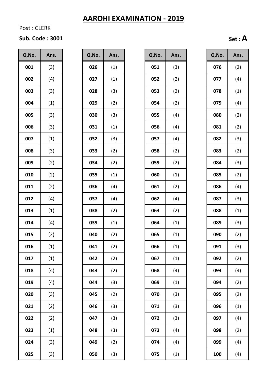Post : CLERK

#### **Sub. Code : 3001 Set : A**

| Q.No. | Ans. |
|-------|------|
| 001   | (3)  |
| 002   | (4)  |
| 003   | (3)  |
| 004   | (1)  |
| 005   | (3)  |
| 006   | (3)  |
| 007   | (1)  |
| 008   | (3)  |
| 009   | (2)  |
| 010   | (2)  |
| 011   | (2)  |
| 012   | (4)  |
| 013   | (1)  |
| 014   | (4)  |
| 015   | (2)  |
| 016   | (1)  |
| 017   | (1)  |
| 018   | (4)  |
| 019   | (4)  |
| 020   | (3)  |
| 021   | (2)  |
| 022   | (2)  |
| 023   | (1)  |
| 024   | (3)  |
| 025   | (3)  |

| Q.No. | Ans. |
|-------|------|
| 026   | (1)  |
| 027   | (1)  |
| 028   | (3)  |
| 029   | (2)  |
| 030   | (3)  |
| 031   | (1)  |
| 032   | (3)  |
| 033   | (2)  |
| 034   | (2)  |
| 035   | (1)  |
| 036   | (4)  |
| 037   | (4)  |
| 038   | (2)  |
| 039   | (1)  |
| 040   | (2)  |
| 041   | (2)  |
| 042   | (2)  |
| 043   | (2)  |
| 044   | (3)  |
| 045   | (2)  |
| 046   | (3)  |
| 047   | (3)  |
| 048   | (3)  |
| 049   | (2)  |
| 050   | (3)  |

| Q.No. | Ans. | Q.No. | Ans. | Q.No. | Ans. | Q.No. | Ans. |
|-------|------|-------|------|-------|------|-------|------|
| 001   | (3)  | 026   | (1)  | 051   | (3)  | 076   | (2)  |
| 002   | (4)  | 027   | (1)  | 052   | (2)  | 077   | (4)  |
| 003   | (3)  | 028   | (3)  | 053   | (2)  | 078   | (1)  |
| 004   | (1)  | 029   | (2)  | 054   | (2)  | 079   | (4)  |
| 005   | (3)  | 030   | (3)  | 055   | (4)  | 080   | (2)  |
| 006   | (3)  | 031   | (1)  | 056   | (4)  | 081   | (2)  |
| 007   | (1)  | 032   | (3)  | 057   | (4)  | 082   | (3)  |
| 008   | (3)  | 033   | (2)  | 058   | (2)  | 083   | (2)  |
| 009   | (2)  | 034   | (2)  | 059   | (2)  | 084   | (3)  |
| 010   | (2)  | 035   | (1)  | 060   | (1)  | 085   | (2)  |
| 011   | (2)  | 036   | (4)  | 061   | (2)  | 086   | (4)  |
| 012   | (4)  | 037   | (4)  | 062   | (4)  | 087   | (3)  |
| 013   | (1)  | 038   | (2)  | 063   | (2)  | 088   | (1)  |
| 014   | (4)  | 039   | (1)  | 064   | (1)  | 089   | (3)  |
| 015   | (2)  | 040   | (2)  | 065   | (1)  | 090   | (2)  |
| 016   | (1)  | 041   | (2)  | 066   | (1)  | 091   | (3)  |
| 017   | (1)  | 042   | (2)  | 067   | (1)  | 092   | (2)  |
| 018   | (4)  | 043   | (2)  | 068   | (4)  | 093   | (4)  |
| 019   | (4)  | 044   | (3)  | 069   | (1)  | 094   | (2)  |
| 020   | (3)  | 045   | (2)  | 070   | (3)  | 095   | (2)  |
| 021   | (2)  | 046   | (3)  | 071   | (3)  | 096   | (1)  |
| 022   | (2)  | 047   | (3)  | 072   | (3)  | 097   | (4)  |
| 023   | (1)  | 048   | (3)  | 073   | (4)  | 098   | (2)  |
| 024   | (3)  | 049   | (2)  | 074   | (4)  | 099   | (4)  |
| 025   | (3)  | 050   | (3)  | 075   | (1)  | 100   | (4)  |
|       |      |       |      |       |      |       |      |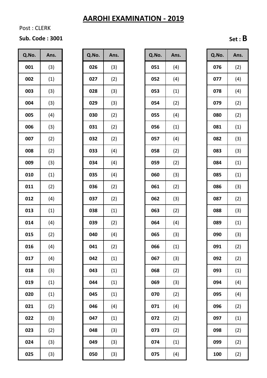Post : CLERK

# **Sub. Code : 3001 Set : B**

| Q.No. | Ans. |
|-------|------|
| 001   | (3)  |
| 002   | (1)  |
| 003   | (3)  |
| 004   | (3)  |
| 005   | (4)  |
| 006   | (3)  |
| 007   | (2)  |
| 008   | (2)  |
| 009   | (3)  |
| 010   | (1)  |
| 011   | (2)  |
| 012   | (4)  |
| 013   | (1)  |
| 014   | (4)  |
| 015   | (2)  |
| 16    | (4)  |
| 017   | (4)  |
| 018   | (3)  |
| 019   | (1)  |
| 020   | (1)  |
| 021   | (2)  |
| 022   | (3)  |
| 023   | (2)  |
| 024   | (3)  |
| 025   | (3)  |

| Q.No. | Ans. |
|-------|------|
| 026   | (3)  |
| 027   | (2)  |
| 028   | (3)  |
| 029   | (3)  |
| 030   | (2)  |
| 031   | (2)  |
| 032   | (2)  |
| 033   | (4)  |
| 034   | (4)  |
| 035   | (4)  |
| 036   | (2)  |
| 037   | (2)  |
| 038   | (1)  |
| 039   | (2)  |
| 040   | (4)  |
| 041   | (2)  |
| 042   | (1)  |
| 043   | (1)  |
| 044   | (1)  |
| 045   | (1)  |
| 046   | (4)  |
| 047   | (1)  |
| 048   | (3)  |
| 049   | (3)  |
| 050   | (3)  |

| Q.No. | Ans. | Q.No. | Ans. | Q.No. | Ans. | Q.No. | Ans. |
|-------|------|-------|------|-------|------|-------|------|
| 001   | (3)  | 026   | (3)  | 051   | (4)  | 076   | (2)  |
| 002   | (1)  | 027   | (2)  | 052   | (4)  | 077   | (4)  |
| 003   | (3)  | 028   | (3)  | 053   | (1)  | 078   | (4)  |
| 004   | (3)  | 029   | (3)  | 054   | (2)  | 079   | (2)  |
| 005   | (4)  | 030   | (2)  | 055   | (4)  | 080   | (2)  |
| 006   | (3)  | 031   | (2)  | 056   | (1)  | 081   | (1)  |
| 007   | (2)  | 032   | (2)  | 057   | (4)  | 082   | (3)  |
| 008   | (2)  | 033   | (4)  | 058   | (2)  | 083   | (3)  |
| 009   | (3)  | 034   | (4)  | 059   | (2)  | 084   | (1)  |
| 010   | (1)  | 035   | (4)  | 060   | (3)  | 085   | (1)  |
| 011   | (2)  | 036   | (2)  | 061   | (2)  | 086   | (3)  |
| 012   | (4)  | 037   | (2)  | 062   | (3)  | 087   | (2)  |
| 013   | (1)  | 038   | (1)  | 063   | (2)  | 088   | (3)  |
| 014   | (4)  | 039   | (2)  | 064   | (4)  | 089   | (1)  |
| 015   | (2)  | 040   | (4)  | 065   | (3)  | 090   | (3)  |
| 016   | (4)  | 041   | (2)  | 066   | (1)  | 091   | (2)  |
| 017   | (4)  | 042   | (1)  | 067   | (3)  | 092   | (2)  |
| 018   | (3)  | 043   | (1)  | 068   | (2)  | 093   | (1)  |
| 019   | (1)  | 044   | (1)  | 069   | (3)  | 094   | (4)  |
| 020   | (1)  | 045   | (1)  | 070   | (2)  | 095   | (4)  |
| 021   | (2)  | 046   | (4)  | 071   | (4)  | 096   | (2)  |
| 022   | (3)  | 047   | (1)  | 072   | (2)  | 097   | (1)  |
| 023   | (2)  | 048   | (3)  | 073   | (2)  | 098   | (2)  |
| 024   | (3)  | 049   | (3)  | 074   | (1)  | 099   | (2)  |
| 025   | (3)  | 050   | (3)  | 075   | (4)  | 100   | (2)  |

| Q.No. | Ans. |
|-------|------|
| 076   | (2)  |
| 077   | (4)  |
| 078   | (4)  |
| 079   | (2)  |
| 080   | (2)  |
| 081   | (1)  |
| 082   | (3)  |
| 083   | (3)  |
| 084   | (1)  |
| 085   | (1)  |
| 086   | (3)  |
| 087   | (2)  |
| 088   | (3)  |
| 089   | (1)  |
| 090   | (3)  |
| 091   | (2)  |
| 092   | (2)  |
| 093   | (1)  |
| 094   | (4)  |
| 095   | (4)  |
| 096   | (2)  |
| 097   | (1)  |
| 098   | (2)  |
| 099   | (2)  |
| 100   | (2)  |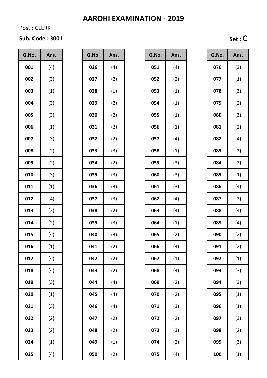Post : CLERK

#### **Sub. Code : 3001 Set : C**

| Q.No. | Ans. |
|-------|------|
| 001   | (4)  |
| 002   | (3)  |
| 003   | (1)  |
| 004   | (3)  |
| 005   | (3)  |
| 006   | (1)  |
| 007   | (3)  |
| 008   | (2)  |
| 009   | (2)  |
| 010   | (3)  |
| 011   | (1)  |
| 012   | (4)  |
| 013   | (2)  |
| 014   | (2)  |
| 015   | (4)  |
| 016   | (1)  |
| 017   | (4)  |
| 018   | (4)  |
| 019   | (3)  |
| 020   | (1)  |
| 021   | (3)  |
| 022   | (2)  |
| 023   | (2)  |
| 024   | (1)  |
| 025   | (4)  |

| Q.No. | Ans. |
|-------|------|
| 026   | (4)  |
| 027   | (2)  |
| 028   | (1)  |
| 029   | (2)  |
| 030   | (2)  |
| 031   | (2)  |
| 032   | (2)  |
| 033   | (3)  |
| 034   | (2)  |
| 035   | (3)  |
| 036   | (3)  |
| 037   | (3)  |
| 038   | (2)  |
| 039   | (3)  |
| 040   | (3)  |
| 041   | (2)  |
| 042   | (2)  |
| 043   | (2)  |
| 044   | (4)  |
| 045   | (4)  |
| 046   | (4)  |
| 047   | (2)  |
| 048   | (2)  |
| 049   | (1)  |
| 050   | (2)  |

| Q.No. | Ans. | Q.No. | Ans. | Q.No. | Ans. | Q.No. | Ans. |
|-------|------|-------|------|-------|------|-------|------|
| 001   | (4)  | 026   | (4)  | 051   | (4)  | 076   | (3)  |
| 002   | (3)  | 027   | (2)  | 052   | (2)  | 077   | (1)  |
| 003   | (1)  | 028   | (1)  | 053   | (1)  | 078   | (3)  |
| 004   | (3)  | 029   | (2)  | 054   | (1)  | 079   | (2)  |
| 005   | (3)  | 030   | (2)  | 055   | (1)  | 080   | (3)  |
| 006   | (1)  | 031   | (2)  | 056   | (1)  | 081   | (2)  |
| 007   | (3)  | 032   | (2)  | 057   | (4)  | 082   | (4)  |
| 008   | (2)  | 033   | (3)  | 058   | (1)  | 083   | (2)  |
| 009   | (2)  | 034   | (2)  | 059   | (3)  | 084   | (2)  |
| 010   | (3)  | 035   | (3)  | 060   | (3)  | 085   | (1)  |
| 011   | (1)  | 036   | (3)  | 061   | (3)  | 086   | (4)  |
| 012   | (4)  | 037   | (3)  | 062   | (4)  | 087   | (2)  |
| 013   | (2)  | 038   | (2)  | 063   | (4)  | 088   | (4)  |
| 014   | (2)  | 039   | (3)  | 064   | (1)  | 089   | (4)  |
| 015   | (4)  | 040   | (3)  | 065   | (2)  | 090   | (2)  |
| 016   | (1)  | 041   | (2)  | 066   | (4)  | 091   | (2)  |
| 017   | (4)  | 042   | (2)  | 067   | (1)  | 092   | (1)  |
| 018   | (4)  | 043   | (2)  | 068   | (4)  | 093   | (3)  |
| 019   | (3)  | 044   | (4)  | 069   | (2)  | 094   | (3)  |
| 020   | (1)  | 045   | (4)  | 070   | (2)  | 095   | (1)  |
| 021   | (3)  | 046   | (4)  | 071   | (3)  | 096   | (1)  |
| 022   | (2)  | 047   | (2)  | 072   | (2)  | 097   | (3)  |
| 023   | (2)  | 048   | (2)  | 073   | (3)  | 098   | (2)  |
| 024   | (1)  | 049   | (1)  | 074   | (2)  | 099   | (3)  |
| 025   | (4)  | 050   | (2)  | 075   | (4)  | 100   | (1)  |
|       |      |       |      |       |      |       |      |

| Q.No. | Ans. |
|-------|------|
| 076   | (3)  |
| 077   | (1)  |
| 078   | (3)  |
| 079   | (2)  |
| 080   | (3)  |
| 081   | (2)  |
| 082   | (4)  |
| 083   | (2)  |
| 084   | (2)  |
| 085   | (1)  |
| 086   | (4)  |
| 087   | (2)  |
| 088   | (4)  |
| 089   | (4)  |
| 090   | (2)  |
| 091   | (2)  |
| 092   | (1)  |
| 093   | (3)  |
| 094   | (3)  |
| 095   | (1)  |
| 096   | (1)  |
| 097   | (3)  |
| 098   | (2)  |
| 099   | (3)  |
| 100   | (1)  |